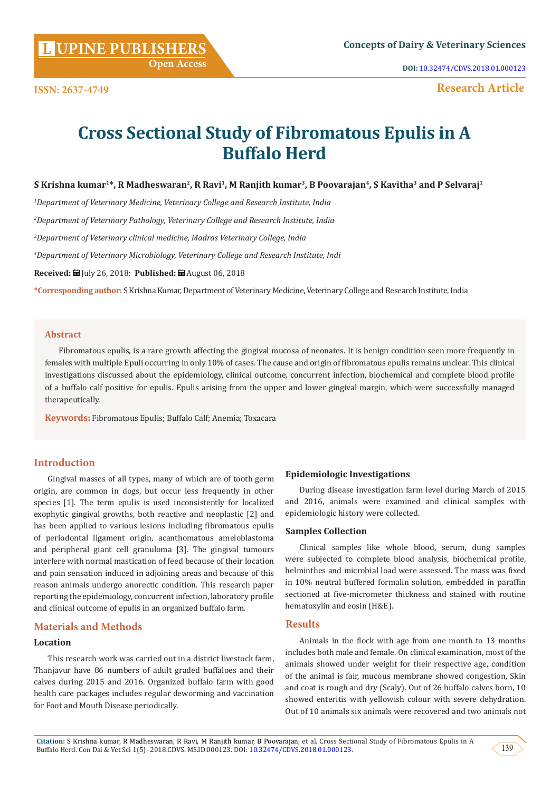**Citation:** S Krishna kumar, R Madheswaran, R Ravi, M Ranjith kumar, B Poovarajan, et al. Cross Sectional Study of Fibromatous Epulis in A Buffalo Herd. Con Dai & Vet Sci 1(5)-2018.CDVS. MS.ID.000123. DOI: [10.32474/CDVS.2018.01.000123.](http://dx.doi.org/10.32474/CDVS.2018.01.000123) (139

## **[UPINE PUBLISHERS](http://www.lupinepublishers.com/) L Concepts of Dairy & Veterinary Sciences**

**ISSN: 2637-4749**

# **Cross Sectional Study of Fibromatous Epulis in A Buffalo Herd**

**S Krishna kumar1\*, R Madheswaran2, R Ravi1, M Ranjith kumar3, B Poovarajan4, S Kavitha3 and P Selvaraj1**

*1 Department of Veterinary Medicine, Veterinary College and Research Institute, India*

 **Open Access**

*2 Department of Veterinary Pathology, Veterinary College and Research Institute, India*

*3 Department of Veterinary clinical medicine, Madras Veterinary College, India*

*4 Department of Veterinary Microbiology, Veterinary College and Research Institute, Indi*

**Received:** July 26, 2018; **Published:** August 06, 2018

**\*Corresponding author:** S Krishna Kumar, Department of Veterinary Medicine, Veterinary College and Research Institute, India

#### **Abstract**

Fibromatous epulis, is a rare growth affecting the gingival mucosa of neonates. It is benign condition seen more frequently in females with multiple Epuli occurring in only 10% of cases. The cause and origin of fibromatous epulis remains unclear. This clinical investigations discussed about the epidemiology, clinical outcome, concurrent infection, biochemical and complete blood profile of a buffalo calf positive for epulis. Epulis arising from the upper and lower gingival margin, which were successfully managed therapeutically.

**Keywords:** Fibromatous Epulis; Buffalo Calf; Anemia; Toxacara

### **Introduction**

Gingival masses of all types, many of which are of tooth germ origin, are common in dogs, but occur less frequently in other species [1]. The term epulis is used inconsistently for localized exophytic gingival growths, both reactive and neoplastic [2] and has been applied to various lesions including fibromatous epulis of periodontal ligament origin, acanthomatous ameloblastoma and peripheral giant cell granuloma [3]. The gingival tumours interfere with normal mastication of feed because of their location and pain sensation induced in adjoining areas and because of this reason animals undergo anorectic condition. This research paper reporting the epidemiology, concurrent infection, laboratory profile and clinical outcome of epulis in an organized buffalo farm.

#### **Materials and Methods**

#### **Location**

This research work was carried out in a district livestock farm, Thanjavur have 86 numbers of adult graded buffaloes and their calves during 2015 and 2016. Organized buffalo farm with good health care packages includes regular deworming and vaccination for Foot and Mouth Disease periodically.

#### **Epidemiologic Investigations**

During disease investigation farm level during March of 2015 and 2016, animals were examined and clinical samples with epidemiologic history were collected.

#### **Samples Collection**

Clinical samples like whole blood, serum, dung samples were subjected to complete blood analysis, biochemical profile, helminthes and microbial load were assessed. The mass was fixed in 10% neutral buffered formalin solution, embedded in paraffin sectioned at five-micrometer thickness and stained with routine hematoxylin and eosin (H&E).

#### **Results**

Animals in the flock with age from one month to 13 months includes both male and female. On clinical examination, most of the animals showed under weight for their respective age, condition of the animal is fair, mucous membrane showed congestion, Skin and coat is rough and dry (Scaly). Out of 26 buffalo calves born, 10 showed enteritis with yellowish colour with severe dehydration. Out of 10 animals six animals were recovered and two animals not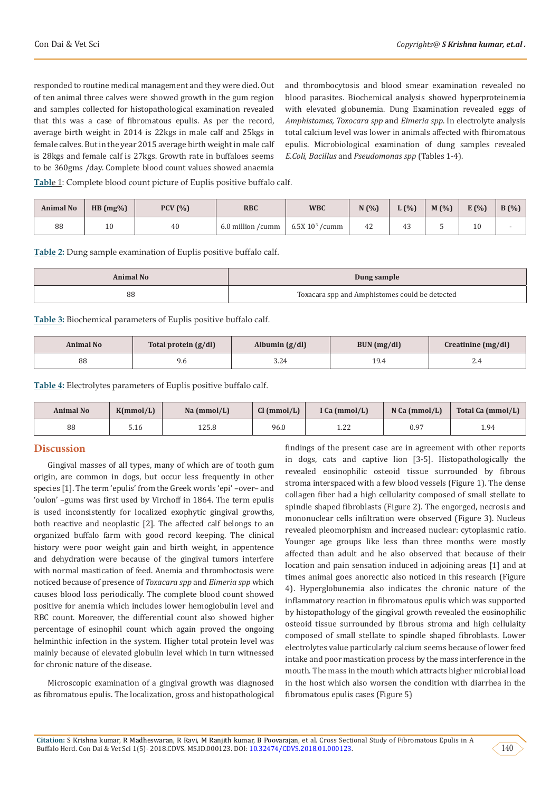responded to routine medical management and they were died. Out of ten animal three calves were showed growth in the gum region and samples collected for histopathological examination revealed that this was a case of fibromatous epulis. As per the record, average birth weight in 2014 is 22kgs in male calf and 25kgs in female calves. But in the year 2015 average birth weight in male calf is 28kgs and female calf is 27kgs. Growth rate in buffaloes seems to be 360gms /day. Complete blood count values showed anaemia

and thrombocytosis and blood smear examination revealed no blood parasites. Biochemical analysis showed hyperproteinemia with elevated globunemia. Dung Examination revealed eggs of *Amphistomes, Toxocara spp* and *Eimeria spp*. In electrolyte analysis total calcium level was lower in animals affected with fbiromatous epulis. Microbiological examination of dung samples revealed *E.Coli, Bacillus* and *Pseudomonas spp* (Tables 1-4).

**Tabl**e 1: Complete blood count picture of Euplis positive buffalo calf.

| <b>Animal No</b> | HB (mg%) | PCV(%) | <b>RBC</b>           | <b>WBC</b>         | V(% ) | $L(\%)$ | $M(\% )$ | E(%) | B(%) |
|------------------|----------|--------|----------------------|--------------------|-------|---------|----------|------|------|
| 88               | τn       | 40     | 6.0 million<br>/cumm | $6.5X$ $103$ /cumm |       |         |          | 10   |      |

**Table 2:** Dung sample examination of Euplis positive buffalo calf.

| Animal No | Dung sample                                    |  |  |  |
|-----------|------------------------------------------------|--|--|--|
| 88        | Toxacara spp and Amphistomes could be detected |  |  |  |

**Table 3:** Biochemical parameters of Euplis positive buffalo calf.

| Animal No | Total protein (g/dl) | Albumin $(g/dl)$ | BUN (mg/dl) | Creatinine (mg/dl) |
|-----------|----------------------|------------------|-------------|--------------------|
| 88        | 9.6                  | Z4               | 19.4        | 2.4                |

**Table 4:** Electrolytes parameters of Euplis positive buffalo calf.

| <b>Animal No</b> | K(mmol/L) | Na (mmol/L) | Cl (mmol/L) | I Ca $(mmol/L)$ | N Ca (mmol/L) | Total Ca (mmol/L) |
|------------------|-----------|-------------|-------------|-----------------|---------------|-------------------|
| 88               | 5.16      | 125.8       | 96.0        | 1.22            | 0.97          | 1.94              |

#### **Discussion**

Gingival masses of all types, many of which are of tooth gum origin, are common in dogs, but occur less frequently in other species [1]. The term 'epulis' from the Greek words 'epi' –over– and 'oulon' –gums was first used by Virchoff in 1864. The term epulis is used inconsistently for localized exophytic gingival growths, both reactive and neoplastic [2]. The affected calf belongs to an organized buffalo farm with good record keeping. The clinical history were poor weight gain and birth weight, in appentence and dehydration were because of the gingival tumors interfere with normal mastication of feed. Anemia and thromboctosis were noticed because of presence of *Toxacara spp* and *Eimeria spp* which causes blood loss periodically. The complete blood count showed positive for anemia which includes lower hemoglobulin level and RBC count. Moreover, the differential count also showed higher percentage of esinophil count which again proved the ongoing helminthic infection in the system. Higher total protein level was mainly because of elevated globulin level which in turn witnessed for chronic nature of the disease.

Microscopic examination of a gingival growth was diagnosed as fibromatous epulis. The localization, gross and histopathological findings of the present case are in agreement with other reports in dogs, cats and captive lion [3-5]. Histopathologically the revealed eosinophilic osteoid tissue surrounded by fibrous stroma interspaced with a few blood vessels (Figure 1). The dense collagen fiber had a high cellularity composed of small stellate to spindle shaped fibroblasts (Figure 2). The engorged, necrosis and mononuclear cells infiltration were observed (Figure 3). Nucleus revealed pleomorphism and increased nuclear: cytoplasmic ratio. Younger age groups like less than three months were mostly affected than adult and he also observed that because of their location and pain sensation induced in adjoining areas [1] and at times animal goes anorectic also noticed in this research (Figure 4). Hyperglobunemia also indicates the chronic nature of the inflammatory reaction in fibromatous epulis which was supported by histopathology of the gingival growth revealed the eosinophilic osteoid tissue surrounded by fibrous stroma and high cellulaity composed of small stellate to spindle shaped fibroblasts. Lower electrolytes value particularly calcium seems because of lower feed intake and poor mastication process by the mass interference in the mouth. The mass in the mouth which attracts higher microbial load in the host which also worsen the condition with diarrhea in the fibromatous epulis cases (Figure 5)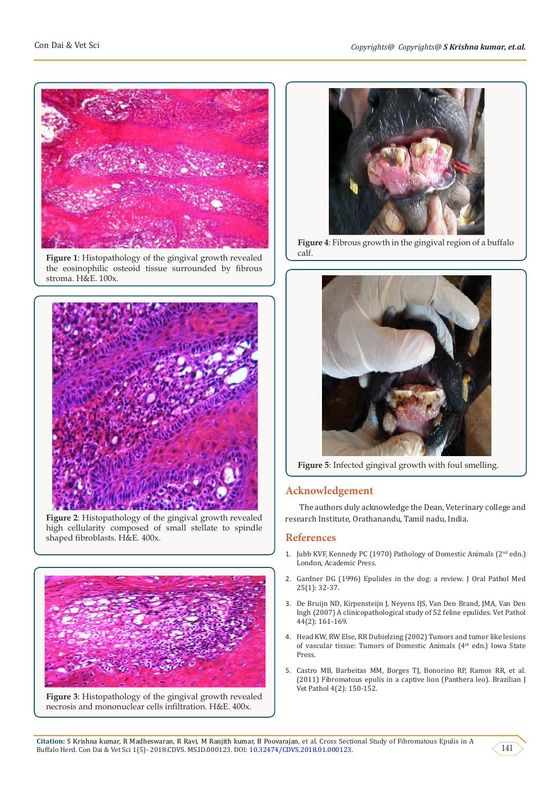

**Figure 1**: Histopathology of the gingival growth revealed the eosinophilic osteoid tissue surrounded by fibrous stroma. H&E. 100x.



**Figure 2**: Histopathology of the gingival growth revealed high cellularity composed of small stellate to spindle shaped fibroblasts. H&E. 400x.



**Figure 3**: Histopathology of the gingival growth revealed necrosis and mononuclear cells infiltration. H&E. 400x.



**Figure 4**: Fibrous growth in the gingival region of a buffalo calf.



**Figure 5**: Infected gingival growth with foul smelling.

### **Acknowledgement**

The authors duly acknowledge the Dean, Veterinary college and research Institute, Orathanandu, Tamil nadu, India.

#### **References**

- 1. [Jubb KVF, Kennedy PC \(1970\) Pathology of Domestic Animals \(2](https://trove.nla.gov.au/work/9101931?q&versionId=29039946)<sup>nd</sup> edn.) [London, Academic Press.](https://trove.nla.gov.au/work/9101931?q&versionId=29039946)
- 2. [Gardner DG \(1996\) Epulides in the dog: a review. J Oral Pathol Med](https://www.ncbi.nlm.nih.gov/pubmed/8850355) [25\(1\): 32-37.](https://www.ncbi.nlm.nih.gov/pubmed/8850355)
- 3. [De Bruijn ND, Kirpensteijn J, Neyens IJS, Van Den Brand, JMA, Van Den](https://www.ncbi.nlm.nih.gov/pubmed/17317793) [Ingh \(2007\) A clinicopathological study of 52 feline epulides. Vet Pathol](https://www.ncbi.nlm.nih.gov/pubmed/17317793) [44\(2\): 161-169.](https://www.ncbi.nlm.nih.gov/pubmed/17317793)
- 4. Head KW, RW Else, RR Dubielzing (2002) Tumors and tumor like lesions of vascular tissue: Tumors of Domestic Animals (4<sup>th</sup> edn.) Iowa State Press.
- 5. [Castro MB, Barbeitas MM, Borges TJ, Bonorino RP, Ramos RR, et al.](https://www.researchgate.net/publication/267298084_Fibromatous_Epulis_in_a_Captive_Lion_Panthera_leo) [\(2011\) Fibromatous epulis in a captive lion \(Panthera leo\). Brazilian J](https://www.researchgate.net/publication/267298084_Fibromatous_Epulis_in_a_Captive_Lion_Panthera_leo) [Vet Pathol 4\(2\): 150-152.](https://www.researchgate.net/publication/267298084_Fibromatous_Epulis_in_a_Captive_Lion_Panthera_leo)

141